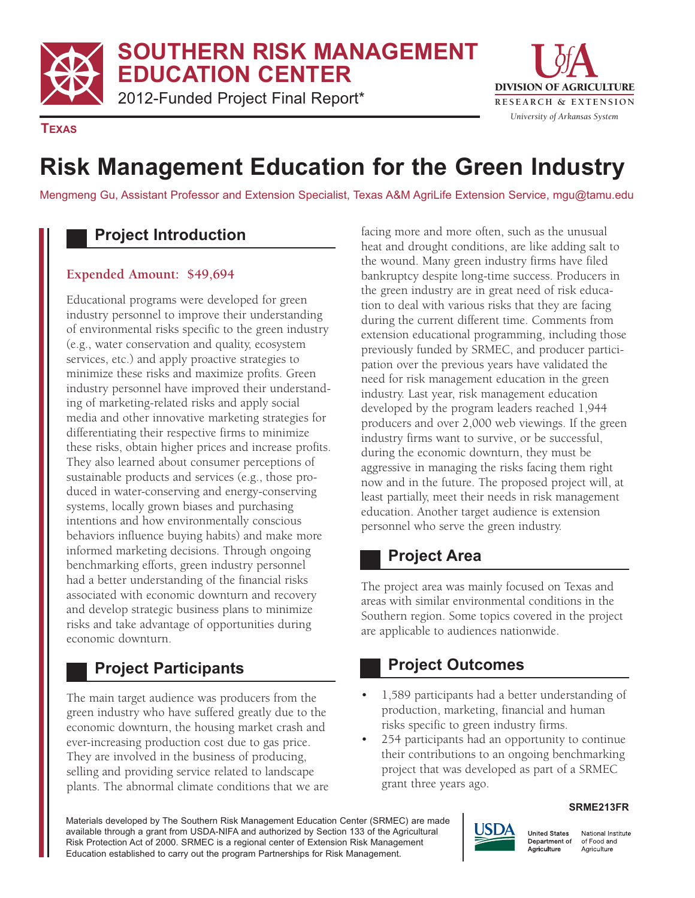**SOUTHERN RISK MANAGEMENT EDUCATION CENTER** 

2012-Funded Project Final Report\* **RESEARCH & EXTENSION** 



**TEXAS** 

# **Risk Management Education for the Green Industry**

Mengmeng Gu, Assistant Professor and Extension Specialist, Texas A&M AgriLife Extension Service, mgu@tamu.edu

# **Project Introduction**

#### **Expended Amount: \$49,694**

Educational programs were developed for green industry personnel to improve their understanding of environmental risks specific to the green industry (e.g., water conservation and quality, ecosystem services, etc.) and apply proactive strategies to minimize these risks and maximize profits. Green industry personnel have improved their understanding of marketing-related risks and apply social media and other innovative marketing strategies for differentiating their respective firms to minimize these risks, obtain higher prices and increase profits. They also learned about consumer perceptions of sustainable products and services (e.g., those produced in water-conserving and energy-conserving systems, locally grown biases and purchasing intentions and how environmentally conscious behaviors influence buying habits) and make more informed marketing decisions. Through ongoing benchmarking efforts, green industry personnel had a better understanding of the financial risks associated with economic downturn and recovery and develop strategic business plans to minimize risks and take advantage of opportunities during economic downturn.

### **Project Participants**

The main target audience was producers from the green industry who have suffered greatly due to the economic downturn, the housing market crash and ever-increasing production cost due to gas price. They are involved in the business of producing, selling and providing service related to landscape plants. The abnormal climate conditions that we are facing more and more often, such as the unusual heat and drought conditions, are like adding salt to the wound. Many green industry firms have filed bankruptcy despite long-time success. Producers in the green industry are in great need of risk education to deal with various risks that they are facing during the current different time. Comments from extension educational programming, including those previously funded by SRMEC, and producer participation over the previous years have validated the need for risk management education in the green industry. Last year, risk management education developed by the program leaders reached 1,944 producers and over 2,000 web viewings. If the green industry firms want to survive, or be successful, during the economic downturn, they must be aggressive in managing the risks facing them right now and in the future. The proposed project will, at least partially, meet their needs in risk management education. Another target audience is extension personnel who serve the green industry.

### **Project Area**

The project area was mainly focused on Texas and areas with similar environmental conditions in the Southern region. Some topics covered in the project are applicable to audiences nationwide.

# **Project Outcomes**

- 1,589 participants had a better understanding of production, marketing, financial and human risks specific to green industry firms.
- 254 participants had an opportunity to continue their contributions to an ongoing benchmarking project that was developed as part of a SRMEC grant three years ago.

#### **SRME213FR**

Materials developed by The Southern Risk Management Education Center (SRMEC) are made available through a grant from USDA-NIFA and authorized by Section 133 of the Agricultural Risk Protection Act of 2000. SRMEC is a regional center of Extension Risk Management Education established to carry out the program Partnerships for Risk Management.



National Institute of Food and Agriculture